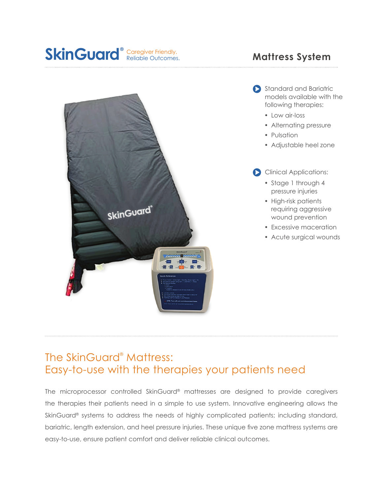





- Low air-loss
- Alternating pressure
- Pulsation
- Adjustable heel zone
- Clinical Applications:
	- Stage 1 through 4 pressure injuries
	- High-risk patients requiring aggressive wound prevention
	- Excessive maceration
	- Acute surgical wounds



## The SkinGuard® Mattress: Easy-to-use with the therapies your patients need

The microprocessor controlled SkinGuard® mattresses are designed to provide caregivers the therapies their patients need in a simple to use system. Innovative engineering allows the SkinGuard<sup>®</sup> systems to address the needs of highly complicated patients; including standard, bariatric, length extension, and heel pressure injuries. These unique five zone mattress systems are easy-to-use, ensure patient comfort and deliver reliable clinical outcomes.